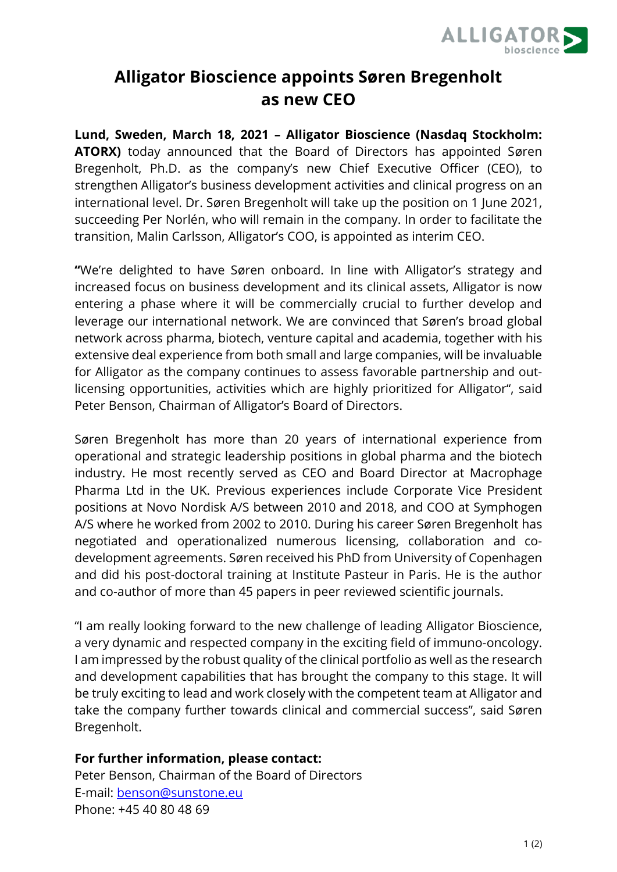

## **Alligator Bioscience appoints Søren Bregenholt as new CEO**

**Lund, Sweden, March 18, 2021 – Alligator Bioscience (Nasdaq Stockholm: ATORX)** today announced that the Board of Directors has appointed Søren Bregenholt, Ph.D. as the company's new Chief Executive Officer (CEO), to strengthen Alligator's business development activities and clinical progress on an international level. Dr. Søren Bregenholt will take up the position on 1 June 2021, succeeding Per Norlén, who will remain in the company. In order to facilitate the transition, Malin Carlsson, Alligator's COO, is appointed as interim CEO.

**"**We're delighted to have Søren onboard. In line with Alligator's strategy and increased focus on business development and its clinical assets, Alligator is now entering a phase where it will be commercially crucial to further develop and leverage our international network. We are convinced that Søren's broad global network across pharma, biotech, venture capital and academia, together with his extensive deal experience from both small and large companies, will be invaluable for Alligator as the company continues to assess favorable partnership and outlicensing opportunities, activities which are highly prioritized for Alligator", said Peter Benson, Chairman of Alligator's Board of Directors.

Søren Bregenholt has more than 20 years of international experience from operational and strategic leadership positions in global pharma and the biotech industry. He most recently served as CEO and Board Director at Macrophage Pharma Ltd in the UK. Previous experiences include Corporate Vice President positions at Novo Nordisk A/S between 2010 and 2018, and COO at Symphogen A/S where he worked from 2002 to 2010. During his career Søren Bregenholt has negotiated and operationalized numerous licensing, collaboration and codevelopment agreements. Søren received his PhD from University of Copenhagen and did his post-doctoral training at Institute Pasteur in Paris. He is the author and co-author of more than 45 papers in peer reviewed scientific journals.

"I am really looking forward to the new challenge of leading Alligator Bioscience, a very dynamic and respected company in the exciting field of immuno-oncology. I am impressed by the robust quality of the clinical portfolio as well as the research and development capabilities that has brought the company to this stage. It will be truly exciting to lead and work closely with the competent team at Alligator and take the company further towards clinical and commercial success", said Søren Bregenholt.

## **For further information, please contact:**

Peter Benson, Chairman of the Board of Directors E-mail: benson@sunstone.eu Phone: +45 40 80 48 69